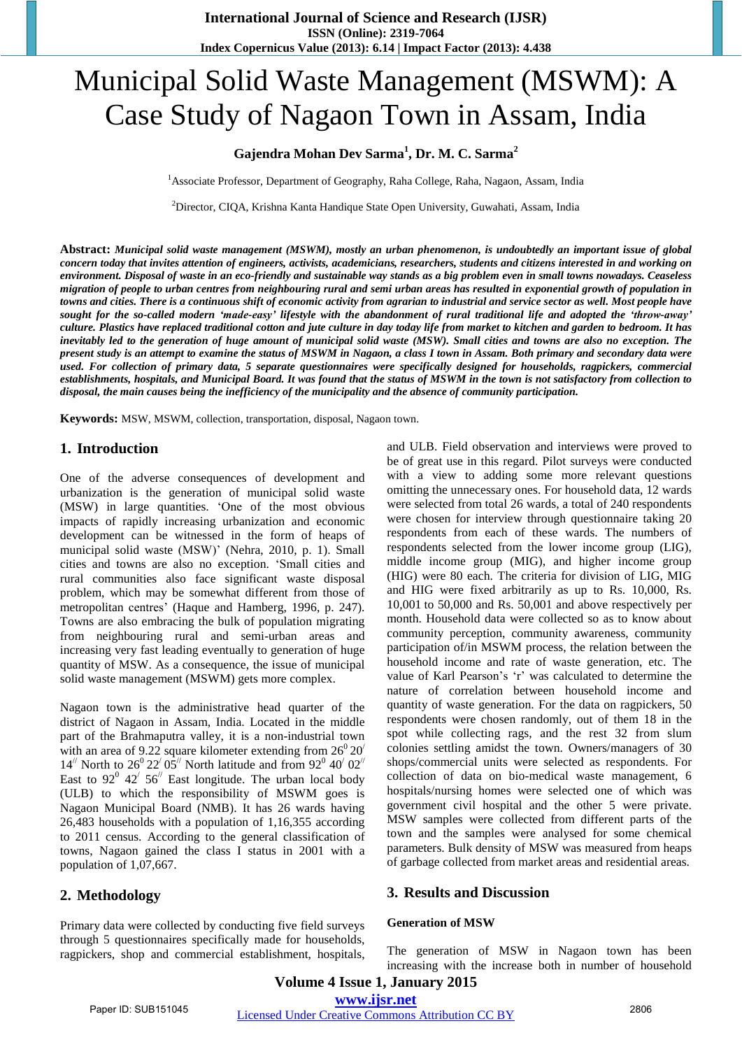# Municipal Solid Waste Management (MSWM): A Case Study of Nagaon Town in Assam, India

## **Gajendra Mohan Dev Sarma<sup>1</sup> , Dr. M. C. Sarma<sup>2</sup>**

<sup>1</sup>Associate Professor, Department of Geography, Raha College, Raha, Nagaon, Assam, India

<sup>2</sup>Director, CIQA, Krishna Kanta Handique State Open University, Guwahati, Assam, India

**Abstract:** *Municipal solid waste management (MSWM), mostly an urban phenomenon, is undoubtedly an important issue of global concern today that invites attention of engineers, activists, academicians, researchers, students and citizens interested in and working on environment. Disposal of waste in an eco-friendly and sustainable way stands as a big problem even in small towns nowadays. Ceaseless migration of people to urban centres from neighbouring rural and semi urban areas has resulted in exponential growth of population in towns and cities. There is a continuous shift of economic activity from agrarian to industrial and service sector as well. Most people have sought for the so-called modern 'made-easy' lifestyle with the abandonment of rural traditional life and adopted the 'throw-away' culture. Plastics have replaced traditional cotton and jute culture in day today life from market to kitchen and garden to bedroom. It has inevitably led to the generation of huge amount of municipal solid waste (MSW). Small cities and towns are also no exception. The present study is an attempt to examine the status of MSWM in Nagaon, a class I town in Assam. Both primary and secondary data were used. For collection of primary data, 5 separate questionnaires were specifically designed for households, ragpickers, commercial establishments, hospitals, and Municipal Board. It was found that the status of MSWM in the town is not satisfactory from collection to disposal, the main causes being the inefficiency of the municipality and the absence of community participation.* 

**Keywords:** MSW, MSWM, collection, transportation, disposal, Nagaon town.

### **1. Introduction**

One of the adverse consequences of development and urbanization is the generation of municipal solid waste (MSW) in large quantities. 'One of the most obvious impacts of rapidly increasing urbanization and economic development can be witnessed in the form of heaps of municipal solid waste (MSW)' (Nehra, 2010, p. 1). Small cities and towns are also no exception. 'Small cities and rural communities also face significant waste disposal problem, which may be somewhat different from those of metropolitan centres' (Haque and Hamberg, 1996, p. 247). Towns are also embracing the bulk of population migrating from neighbouring rural and semi-urban areas and increasing very fast leading eventually to generation of huge quantity of MSW. As a consequence, the issue of municipal solid waste management (MSWM) gets more complex.

Nagaon town is the administrative head quarter of the district of Nagaon in Assam, India. Located in the middle part of the Brahmaputra valley, it is a non-industrial town with an area of 9.22 square kilometer extending from  $26^{\circ}20'$  $14^{\prime\prime}$  North to  $26^{\prime\prime}$   $22^{\prime}$   $05^{\prime\prime}$  North latitude and from  $92^{\prime\prime}$   $40^{\prime}$   $02^{\prime\prime}$ East to 92 $^{\circ}$  42 $^{\prime}$  56 $^{\prime\prime}$  East longitude. The urban local body (ULB) to which the responsibility of MSWM goes is Nagaon Municipal Board (NMB). It has 26 wards having 26,483 households with a population of 1,16,355 according to 2011 census. According to the general classification of towns, Nagaon gained the class I status in 2001 with a population of 1,07,667.

## **2. Methodology**

Primary data were collected by conducting five field surveys through 5 questionnaires specifically made for households, ragpickers, shop and commercial establishment, hospitals, and ULB. Field observation and interviews were proved to be of great use in this regard. Pilot surveys were conducted with a view to adding some more relevant questions omitting the unnecessary ones. For household data, 12 wards were selected from total 26 wards, a total of 240 respondents were chosen for interview through questionnaire taking 20 respondents from each of these wards. The numbers of respondents selected from the lower income group (LIG), middle income group (MIG), and higher income group (HIG) were 80 each. The criteria for division of LIG, MIG and HIG were fixed arbitrarily as up to Rs. 10,000, Rs. 10,001 to 50,000 and Rs. 50,001 and above respectively per month. Household data were collected so as to know about community perception, community awareness, community participation of/in MSWM process, the relation between the household income and rate of waste generation, etc. The value of Karl Pearson's 'r' was calculated to determine the nature of correlation between household income and quantity of waste generation. For the data on ragpickers, 50 respondents were chosen randomly, out of them 18 in the spot while collecting rags, and the rest 32 from slum colonies settling amidst the town. Owners/managers of 30 shops/commercial units were selected as respondents. For collection of data on bio-medical waste management, 6 hospitals/nursing homes were selected one of which was government civil hospital and the other 5 were private. MSW samples were collected from different parts of the town and the samples were analysed for some chemical parameters. Bulk density of MSW was measured from heaps of garbage collected from market areas and residential areas.

#### **3. Results and Discussion**

#### **Generation of MSW**

The generation of MSW in Nagaon town has been increasing with the increase both in number of household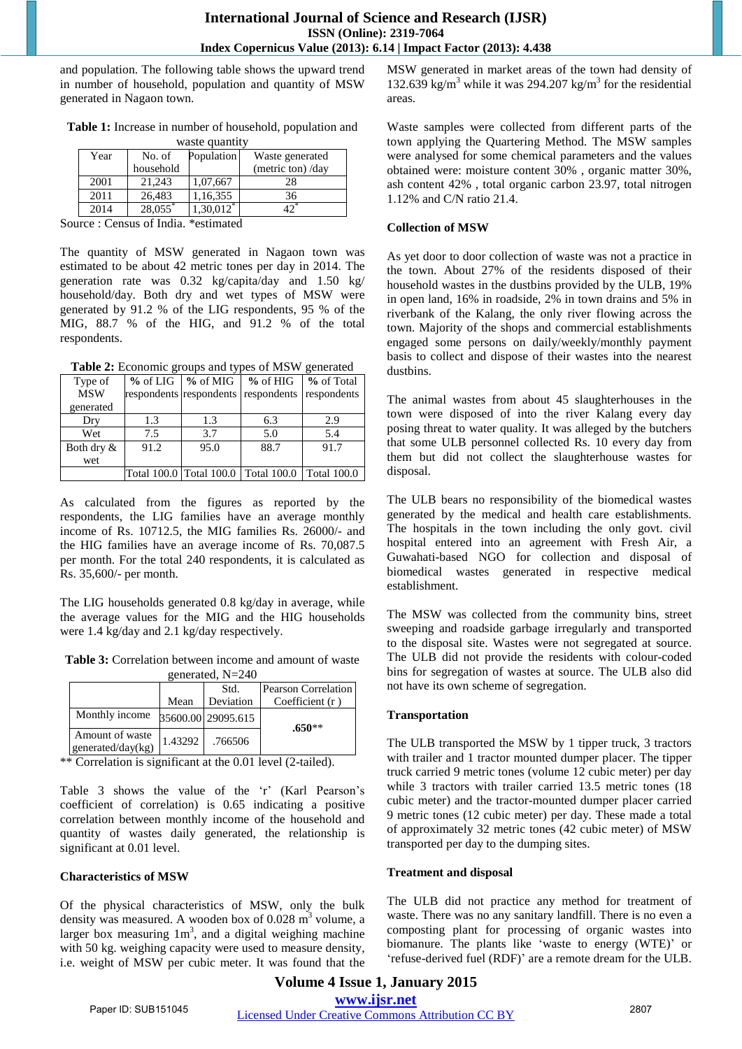and population. The following table shows the upward trend in number of household, population and quantity of MSW generated in Nagaon town.

| Table 1: Increase in number of household, population and |  |  |  |  |  |
|----------------------------------------------------------|--|--|--|--|--|
| waste quantity                                           |  |  |  |  |  |

| wasie gaangii |           |              |                   |  |
|---------------|-----------|--------------|-------------------|--|
| Year          | No. of    | Population   | Waste generated   |  |
|               | household |              | (metric ton) /day |  |
| 2001          | 21.243    | 1,07,667     | 28                |  |
| 2011          | 26.483    | 1,16,355     | 36                |  |
| 2014          | 28,055*   | $1,30,012^*$ |                   |  |

Source : Census of India. \*estimated

The quantity of MSW generated in Nagaon town was estimated to be about 42 metric tones per day in 2014. The generation rate was 0.32 kg/capita/day and 1.50 kg/ household/day. Both dry and wet types of MSW were generated by 91.2 % of the LIG respondents, 95 % of the MIG, 88.7 % of the HIG, and 91.2 % of the total respondents.

**Table 2:** Economic groups and types of MSW generated

|               |      |                                     | <b>Tuble 2.</b> Bechonne groups and types of the $\alpha$ generated |                    |
|---------------|------|-------------------------------------|---------------------------------------------------------------------|--------------------|
| Type of       |      | $\%$ of LIG $\%$ of MIG $\%$ of HIG |                                                                     | % of Total         |
| <b>MSW</b>    |      | respondents respondents             | respondents respondents                                             |                    |
| generated     |      |                                     |                                                                     |                    |
| Dry           | 1.3  | 1.3                                 | 6.3                                                                 | 2.9                |
| Wet           | 7.5  | 3.7                                 | 5.0                                                                 | 5.4                |
| Both dry $\&$ | 91.2 | 95.0                                | 88.7                                                                | 91.7               |
| wet           |      |                                     |                                                                     |                    |
|               |      | Total 100.0 Total 100.0             | Total 100.0                                                         | <b>Total 100.0</b> |

As calculated from the figures as reported by the respondents, the LIG families have an average monthly income of Rs. 10712.5, the MIG families Rs. 26000/- and the HIG families have an average income of Rs. 70,087.5 per month. For the total 240 respondents, it is calculated as Rs. 35,600/- per month.

The LIG households generated 0.8 kg/day in average, while the average values for the MIG and the HIG households were 1.4 kg/day and 2.1 kg/day respectively.

**Table 3:** Correlation between income and amount of waste generated, N=240

| $\epsilon$ cheration, $11 - 270$     |         |                    |                     |  |
|--------------------------------------|---------|--------------------|---------------------|--|
|                                      |         | Std.               | Pearson Correlation |  |
|                                      | Mean    | Deviation          | Coefficient $(r)$   |  |
| Monthly income                       |         | 35600.00 29095.615 | $.650**$            |  |
| Amount of waste<br>generated/day(kg) | 1.43292 | .766506            |                     |  |

\*\* Correlation is significant at the 0.01 level (2-tailed).

Table 3 shows the value of the 'r' (Karl Pearson's coefficient of correlation) is 0.65 indicating a positive correlation between monthly income of the household and quantity of wastes daily generated, the relationship is significant at 0.01 level.

#### **Characteristics of MSW**

Of the physical characteristics of MSW, only the bulk density was measured. A wooden box of  $0.028 \text{ m}^3$  volume, a larger box measuring  $1m<sup>3</sup>$ , and a digital weighing machine with 50 kg. weighing capacity were used to measure density, i.e. weight of MSW per cubic meter. It was found that the

MSW generated in market areas of the town had density of 132.639 kg/m<sup>3</sup> while it was 294.207 kg/m<sup>3</sup> for the residential areas.

Waste samples were collected from different parts of the town applying the Quartering Method. The MSW samples were analysed for some chemical parameters and the values obtained were: moisture content 30% , organic matter 30%, ash content 42% , total organic carbon 23.97, total nitrogen 1.12% and C/N ratio 21.4.

#### **Collection of MSW**

As yet door to door collection of waste was not a practice in the town. About 27% of the residents disposed of their household wastes in the dustbins provided by the ULB, 19% in open land, 16% in roadside, 2% in town drains and 5% in riverbank of the Kalang, the only river flowing across the town. Majority of the shops and commercial establishments engaged some persons on daily/weekly/monthly payment basis to collect and dispose of their wastes into the nearest dustbins.

The animal wastes from about 45 slaughterhouses in the town were disposed of into the river Kalang every day posing threat to water quality. It was alleged by the butchers that some ULB personnel collected Rs. 10 every day from them but did not collect the slaughterhouse wastes for disposal.

The ULB bears no responsibility of the biomedical wastes generated by the medical and health care establishments. The hospitals in the town including the only govt. civil hospital entered into an agreement with Fresh Air, a Guwahati-based NGO for collection and disposal of biomedical wastes generated in respective medical establishment.

The MSW was collected from the community bins, street sweeping and roadside garbage irregularly and transported to the disposal site. Wastes were not segregated at source. The ULB did not provide the residents with colour-coded bins for segregation of wastes at source. The ULB also did not have its own scheme of segregation.

#### **Transportation**

The ULB transported the MSW by 1 tipper truck, 3 tractors with trailer and 1 tractor mounted dumper placer. The tipper truck carried 9 metric tones (volume 12 cubic meter) per day while 3 tractors with trailer carried 13.5 metric tones (18 cubic meter) and the tractor-mounted dumper placer carried 9 metric tones (12 cubic meter) per day. These made a total of approximately 32 metric tones (42 cubic meter) of MSW transported per day to the dumping sites.

#### **Treatment and disposal**

The ULB did not practice any method for treatment of waste. There was no any sanitary landfill. There is no even a composting plant for processing of organic wastes into biomanure. The plants like 'waste to energy (WTE)' or 'refuse-derived fuel (RDF)' are a remote dream for the ULB.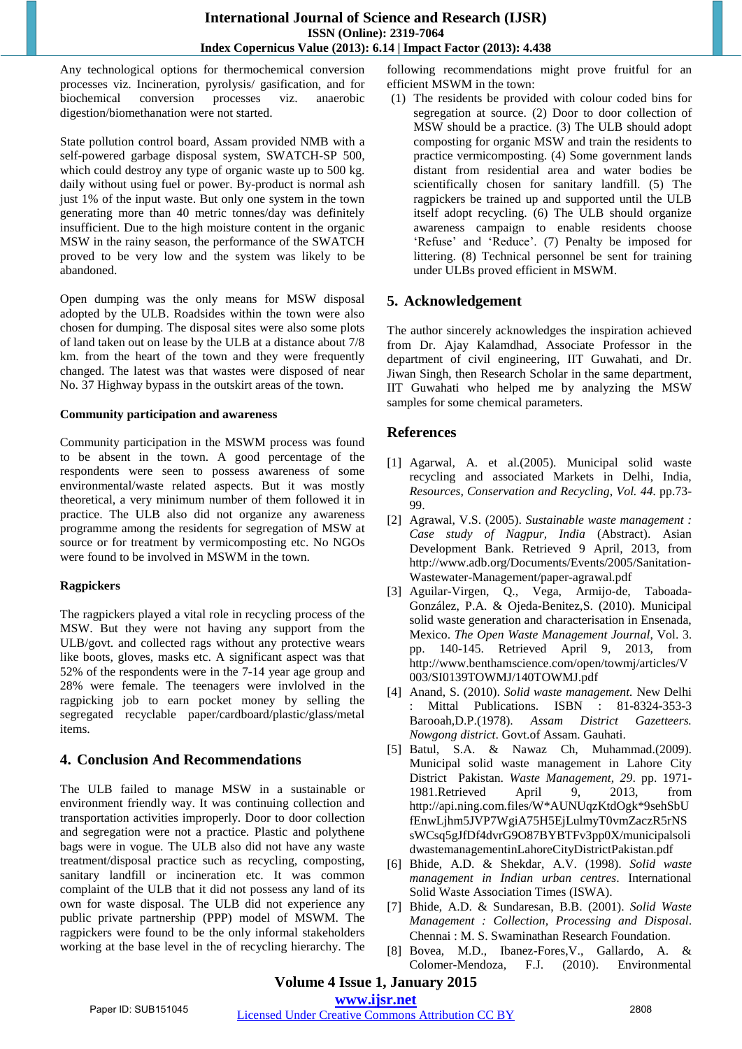Any technological options for thermochemical conversion processes viz. Incineration, pyrolysis/ gasification, and for biochemical conversion processes viz. anaerobic digestion/biomethanation were not started.

State pollution control board, Assam provided NMB with a self-powered garbage disposal system, SWATCH-SP 500, which could destroy any type of organic waste up to 500 kg. daily without using fuel or power. By-product is normal ash just 1% of the input waste. But only one system in the town generating more than 40 metric tonnes/day was definitely insufficient. Due to the high moisture content in the organic MSW in the rainy season, the performance of the SWATCH proved to be very low and the system was likely to be abandoned.

Open dumping was the only means for MSW disposal adopted by the ULB. Roadsides within the town were also chosen for dumping. The disposal sites were also some plots of land taken out on lease by the ULB at a distance about 7/8 km. from the heart of the town and they were frequently changed. The latest was that wastes were disposed of near No. 37 Highway bypass in the outskirt areas of the town.

#### **Community participation and awareness**

Community participation in the MSWM process was found to be absent in the town. A good percentage of the respondents were seen to possess awareness of some environmental/waste related aspects. But it was mostly theoretical, a very minimum number of them followed it in practice. The ULB also did not organize any awareness programme among the residents for segregation of MSW at source or for treatment by vermicomposting etc. No NGOs were found to be involved in MSWM in the town.

## **Ragpickers**

The ragpickers played a vital role in recycling process of the MSW. But they were not having any support from the ULB/govt. and collected rags without any protective wears like boots, gloves, masks etc. A significant aspect was that 52% of the respondents were in the 7-14 year age group and 28% were female. The teenagers were invlolved in the ragpicking job to earn pocket money by selling the segregated recyclable paper/cardboard/plastic/glass/metal items.

# **4. Conclusion And Recommendations**

The ULB failed to manage MSW in a sustainable or environment friendly way. It was continuing collection and transportation activities improperly. Door to door collection and segregation were not a practice. Plastic and polythene bags were in vogue. The ULB also did not have any waste treatment/disposal practice such as recycling, composting, sanitary landfill or incineration etc. It was common complaint of the ULB that it did not possess any land of its own for waste disposal. The ULB did not experience any public private partnership (PPP) model of MSWM. The ragpickers were found to be the only informal stakeholders working at the base level in the of recycling hierarchy. The following recommendations might prove fruitful for an efficient MSWM in the town:

(1) The residents be provided with colour coded bins for segregation at source. (2) Door to door collection of MSW should be a practice. (3) The ULB should adopt composting for organic MSW and train the residents to practice vermicomposting. (4) Some government lands distant from residential area and water bodies be scientifically chosen for sanitary landfill. (5) The ragpickers be trained up and supported until the ULB itself adopt recycling. (6) The ULB should organize awareness campaign to enable residents choose 'Refuse' and 'Reduce'. (7) Penalty be imposed for littering. (8) Technical personnel be sent for training under ULBs proved efficient in MSWM.

# **5. Acknowledgement**

The author sincerely acknowledges the inspiration achieved from Dr. Ajay Kalamdhad, Associate Professor in the department of civil engineering, IIT Guwahati, and Dr. Jiwan Singh, then Research Scholar in the same department, IIT Guwahati who helped me by analyzing the MSW samples for some chemical parameters.

# **References**

- [1] Agarwal, A. et al.(2005). Municipal solid waste recycling and associated Markets in Delhi, India, *Resources, Conservation and Recycling*, *Vol. 44.* pp.73- 99.
- [2] Agrawal, V.S. (2005). *Sustainable waste management : Case study of Nagpur, India* (Abstract). Asian Development Bank. Retrieved 9 April, 2013, from http://www.adb.org/Documents/Events/2005/Sanitation-Wastewater-Management/paper-agrawal.pdf
- [3] Aguilar-Virgen, Q., Vega, Armijo-de, Taboada-González, P.A. & Ojeda-Benitez,S. (2010). Municipal solid waste generation and characterisation in Ensenada, Mexico. *The Open Waste Management Journal*, Vol. 3. pp. 140-145. Retrieved April 9, 2013, from http://www.benthamscience.com/open/towmj/articles/V 003/SI0139TOWMJ/140TOWMJ.pdf
- [4] Anand, S. (2010). *Solid waste management.* New Delhi Mittal Publications. ISBN : 81-8324-353-3 Barooah,D.P.(1978). *Assam District Gazetteers. Nowgong district*. Govt.of Assam. Gauhati.
- [5] Batul, S.A. & Nawaz Ch, Muhammad.(2009). Municipal solid waste management in Lahore City District Pakistan. *Waste Management*, *29*. pp. 1971- 1981.Retrieved April 9, 2013, from http://api.ning.com.files/W\*AUNUqzKtdOgk\*9sehSbU fEnwLjhm5JVP7WgiA75H5EjLulmyT0vmZaczR5rNS sWCsq5gJfDf4dvrG9O87BYBTFv3pp0X/municipalsoli dwastemanagementinLahoreCityDistrictPakistan.pdf
- [6] Bhide, A.D. & Shekdar, A.V. (1998). *Solid waste management in Indian urban centres*. International Solid Waste Association Times (ISWA).
- [7] Bhide, A.D. & Sundaresan, B.B. (2001). *Solid Waste Management : Collection, Processing and Disposal*. Chennai : M. S. Swaminathan Research Foundation.
- [8] Bovea, M.D., Ibanez-Fores,V., Gallardo, A. & Colomer-Mendoza, F.J. (2010). Environmental

#### **Volume 4 Issue 1, January 2015 www.ijsr.net**